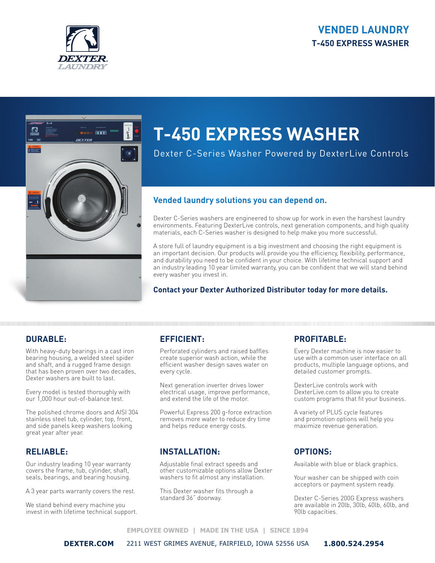# **VENDED LAUNDRY T-450 EXPRESS WASHER**





# **T-450 EXPRESS WASHER**

Dexter C-Series Washer Powered by DexterLive Controls

## **Vended laundry solutions you can depend on.**

Dexter C-Series washers are engineered to show up for work in even the harshest laundry environments. Featuring DexterLive controls, next generation components, and high quality materials, each C-Series washer is designed to help make you more successful.

A store full of laundry equipment is a big investment and choosing the right equipment is an important decision. Our products will provide you the efficiency, flexibility, performance, and durability you need to be confident in your choice. With lifetime technical support and an industry leading 10 year limited warranty, you can be confident that we will stand behind every washer you invest in.

## **Contact your Dexter Authorized Distributor today for more details.**

# **DURABLE:**

With heavy-duty bearings in a cast iron bearing housing, a welded steel spider and shaft, and a rugged frame design that has been proven over two decades, Dexter washers are built to last.

Every model is tested thoroughly with our 1,000 hour out-of-balance test.

The polished chrome doors and AISI 304 stainless steel tub, cylinder, top, front, and side panels keep washers looking great year after year.

## **RELIABLE:**

Our industry leading 10 year warranty covers the frame, tub, cylinder, shaft, seals, bearings, and bearing housing.

A 3 year parts warranty covers the rest.

We stand behind every machine you invest in with lifetime technical support.

# **EFFICIENT:**

Perforated cylinders and raised baffles create superior wash action, while the efficient washer design saves water on every cycle.

Next generation inverter drives lower electrical usage, improve performance, and extend the life of the motor.

Powerful Express 200 g-force extraction removes more water to reduce dry time and helps reduce energy costs.

## **INSTALLATION:**

Adjustable final extract speeds and other customizable options allow Dexter washers to fit almost any installation.

This Dexter washer fits through a standard 36" doorway.

# **PROFITABLE:**

Every Dexter machine is now easier to use with a common user interface on all products, multiple language options, and detailed customer prompts.

DexterLive controls work with DexterLive.com to allow you to create custom programs that fit your business.

A variety of PLUS cycle features and promotion options will help you maximize revenue generation.

## **OPTIONS:**

Available with blue or black graphics.

Your washer can be shipped with coin acceptors or payment system ready.

Dexter C-Series 200G Express washers are available in 20lb, 30lb, 40lb, 60lb, and 90lb capacities.

#### **EMPLOYEE OWNED | MADE IN THE USA | SINCE 1894**

**DEXTER.COM** 2211 WEST GRIMES AVENUE, FAIRFIELD, IOWA 52556 USA **1.800.524.2954**